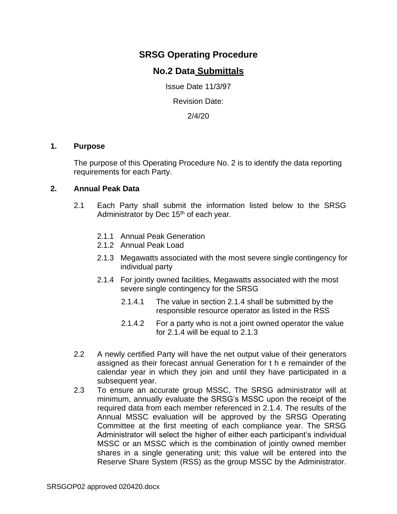# **SRSG Operating Procedure**

## **No.2 Data Submittals**

Issue Date 11/3/97

Revision Date:

2/4/20

#### **1. Purpose**

The purpose of this Operating Procedure No. 2 is to identify the data reporting requirements for each Party.

### **2. Annual Peak Data**

- 2.1 Each Party shall submit the information listed below to the SRSG Administrator by Dec 15<sup>th</sup> of each year.
	- 2.1.1 Annual Peak Generation
	- 2.1.2 Annual Peak Load
	- 2.1.3 Megawatts associated with the most severe single contingency for individual party
	- 2.1.4 For jointly owned facilities, Megawatts associated with the most severe single contingency for the SRSG
		- 2.1.4.1 The value in section 2.1.4 shall be submitted by the responsible resource operator as listed in the RSS
		- 2.1.4.2 For a party who is not a joint owned operator the value for 2.1.4 will be equal to 2.1.3
- 2.2 A newly certified Party will have the net output value of their generators assigned as their forecast annual Generation for t h e remainder of the calendar year in which they join and until they have participated in a subsequent year.
- 2.3 To ensure an accurate group MSSC, The SRSG administrator will at minimum, annually evaluate the SRSG's MSSC upon the receipt of the required data from each member referenced in 2.1.4. The results of the Annual MSSC evaluation will be approved by the SRSG Operating Committee at the first meeting of each compliance year. The SRSG Administrator will select the higher of either each participant's individual MSSC or an MSSC which is the combination of jointly owned member shares in a single generating unit; this value will be entered into the Reserve Share System (RSS) as the group MSSC by the Administrator.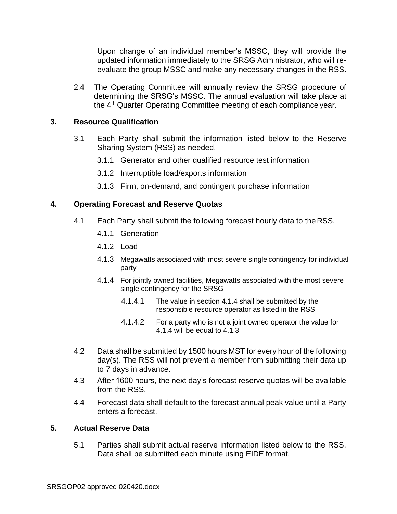Upon change of an individual member's MSSC, they will provide the updated information immediately to the SRSG Administrator, who will reevaluate the group MSSC and make any necessary changes in the RSS.

2.4 The Operating Committee will annually review the SRSG procedure of determining the SRSG's MSSC. The annual evaluation will take place at the 4th Quarter Operating Committee meeting of each compliance year.

### **3. Resource Qualification**

- 3.1 Each Party shall submit the information listed below to the Reserve Sharing System (RSS) as needed.
	- 3.1.1 Generator and other qualified resource test information
	- 3.1.2 Interruptible load/exports information
	- 3.1.3 Firm, on-demand, and contingent purchase information

### **4. Operating Forecast and Reserve Quotas**

- 4.1 Each Party shall submit the following forecast hourly data to the RSS.
	- 4.1.1 Generation
	- 4.1.2 Load
	- 4.1.3 Megawatts associated with most severe single contingency for individual party
	- 4.1.4 For jointly owned facilities, Megawatts associated with the most severe single contingency for the SRSG
		- 4.1.4.1 The value in section 4.1.4 shall be submitted by the responsible resource operator as listed in the RSS
		- 4.1.4.2 For a party who is not a joint owned operator the value for 4.1.4 will be equal to 4.1.3
- 4.2 Data shall be submitted by 1500 hours MST for every hour of the following day(s). The RSS will not prevent a member from submitting their data up to 7 days in advance.
- 4.3 After 1600 hours, the next day's forecast reserve quotas will be available from the RSS.
- 4.4 Forecast data shall default to the forecast annual peak value until a Party enters a forecast.

### **5. Actual Reserve Data**

5.1 Parties shall submit actual reserve information listed below to the RSS. Data shall be submitted each minute using EIDE format.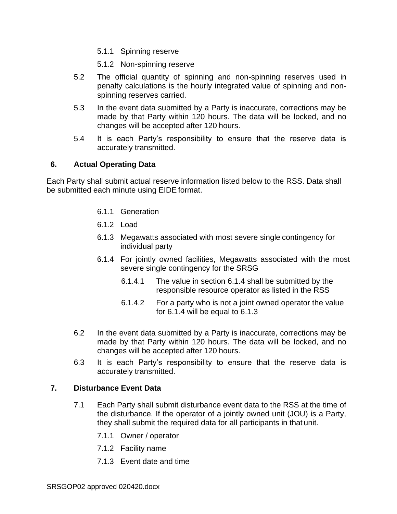- 5.1.1 Spinning reserve
- 5.1.2 Non-spinning reserve
- 5.2 The official quantity of spinning and non-spinning reserves used in penalty calculations is the hourly integrated value of spinning and nonspinning reserves carried.
- 5.3 In the event data submitted by a Party is inaccurate, corrections may be made by that Party within 120 hours. The data will be locked, and no changes will be accepted after 120 hours.
- 5.4 It is each Party's responsibility to ensure that the reserve data is accurately transmitted.

### **6. Actual Operating Data**

Each Party shall submit actual reserve information listed below to the RSS. Data shall be submitted each minute using EIDE format.

- 6.1.1 Generation
- 6.1.2 Load
- 6.1.3 Megawatts associated with most severe single contingency for individual party
- 6.1.4 For jointly owned facilities, Megawatts associated with the most severe single contingency for the SRSG
	- 6.1.4.1 The value in section 6.1.4 shall be submitted by the responsible resource operator as listed in the RSS
	- 6.1.4.2 For a party who is not a joint owned operator the value for 6.1.4 will be equal to 6.1.3
- 6.2 In the event data submitted by a Party is inaccurate, corrections may be made by that Party within 120 hours. The data will be locked, and no changes will be accepted after 120 hours.
- 6.3 It is each Party's responsibility to ensure that the reserve data is accurately transmitted.

### **7. Disturbance Event Data**

- 7.1 Each Party shall submit disturbance event data to the RSS at the time of the disturbance. If the operator of a jointly owned unit (JOU) is a Party, they shall submit the required data for all participants in that unit.
	- 7.1.1 Owner / operator
	- 7.1.2 Facility name
	- 7.1.3 Event date and time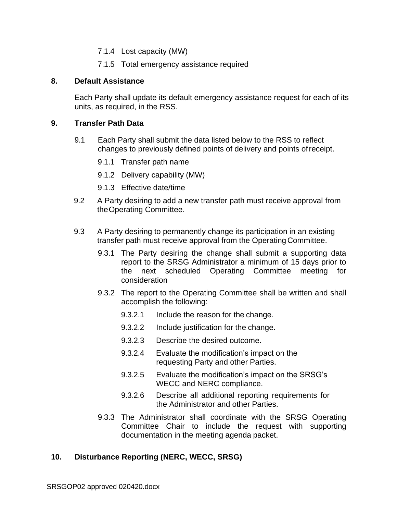- 7.1.4 Lost capacity (MW)
- 7.1.5 Total emergency assistance required

### **8. Default Assistance**

Each Party shall update its default emergency assistance request for each of its units, as required, in the RSS.

### **9. Transfer Path Data**

- 9.1 Each Party shall submit the data listed below to the RSS to reflect changes to previously defined points of delivery and points ofreceipt.
	- 9.1.1 Transfer path name
	- 9.1.2 Delivery capability (MW)
	- 9.1.3 Effective date/time
- 9.2 A Party desiring to add a new transfer path must receive approval from theOperating Committee.
- 9.3 A Party desiring to permanently change its participation in an existing transfer path must receive approval from the Operating Committee.
	- 9.3.1 The Party desiring the change shall submit a supporting data report to the SRSG Administrator a minimum of 15 days prior to the next scheduled Operating Committee meeting for consideration
	- 9.3.2 The report to the Operating Committee shall be written and shall accomplish the following:
		- 9.3.2.1 Include the reason for the change.
		- 9.3.2.2 Include justification for the change.
		- 9.3.2.3 Describe the desired outcome.
		- 9.3.2.4 Evaluate the modification's impact on the requesting Party and other Parties.
		- 9.3.2.5 Evaluate the modification's impact on the SRSG's WECC and NERC compliance.
		- 9.3.2.6 Describe all additional reporting requirements for the Administrator and other Parties.
	- 9.3.3 The Administrator shall coordinate with the SRSG Operating Committee Chair to include the request with supporting documentation in the meeting agenda packet.

## **10. Disturbance Reporting (NERC, WECC, SRSG)**